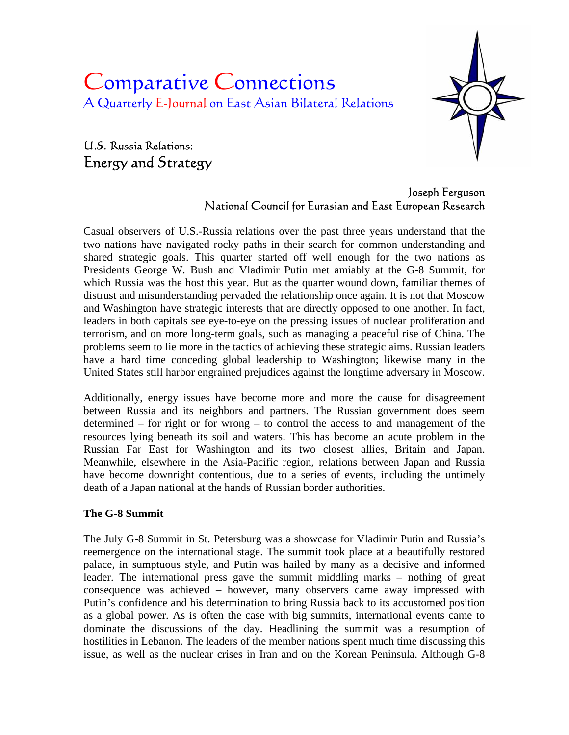# Comparative Connections A Quarterly E-Journal on East Asian Bilateral Relations

# U.S.-Russia Relations: Energy and Strategy



## Joseph Ferguson National Council for Eurasian and East European Research

Casual observers of U.S.-Russia relations over the past three years understand that the two nations have navigated rocky paths in their search for common understanding and shared strategic goals. This quarter started off well enough for the two nations as Presidents George W. Bush and Vladimir Putin met amiably at the G-8 Summit, for which Russia was the host this year. But as the quarter wound down, familiar themes of distrust and misunderstanding pervaded the relationship once again. It is not that Moscow and Washington have strategic interests that are directly opposed to one another. In fact, leaders in both capitals see eye-to-eye on the pressing issues of nuclear proliferation and terrorism, and on more long-term goals, such as managing a peaceful rise of China. The problems seem to lie more in the tactics of achieving these strategic aims. Russian leaders have a hard time conceding global leadership to Washington; likewise many in the United States still harbor engrained prejudices against the longtime adversary in Moscow.

Additionally, energy issues have become more and more the cause for disagreement between Russia and its neighbors and partners. The Russian government does seem determined – for right or for wrong – to control the access to and management of the resources lying beneath its soil and waters. This has become an acute problem in the Russian Far East for Washington and its two closest allies, Britain and Japan. Meanwhile, elsewhere in the Asia-Pacific region, relations between Japan and Russia have become downright contentious, due to a series of events, including the untimely death of a Japan national at the hands of Russian border authorities.

### **The G-8 Summit**

The July G-8 Summit in St. Petersburg was a showcase for Vladimir Putin and Russia's reemergence on the international stage. The summit took place at a beautifully restored palace, in sumptuous style, and Putin was hailed by many as a decisive and informed leader. The international press gave the summit middling marks – nothing of great consequence was achieved – however, many observers came away impressed with Putin's confidence and his determination to bring Russia back to its accustomed position as a global power. As is often the case with big summits, international events came to dominate the discussions of the day. Headlining the summit was a resumption of hostilities in Lebanon. The leaders of the member nations spent much time discussing this issue, as well as the nuclear crises in Iran and on the Korean Peninsula. Although G-8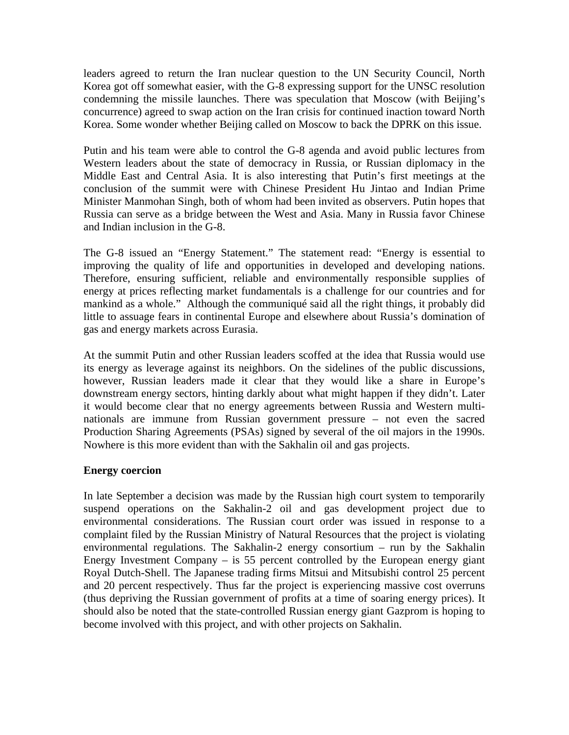leaders agreed to return the Iran nuclear question to the UN Security Council, North Korea got off somewhat easier, with the G-8 expressing support for the UNSC resolution condemning the missile launches. There was speculation that Moscow (with Beijing's concurrence) agreed to swap action on the Iran crisis for continued inaction toward North Korea. Some wonder whether Beijing called on Moscow to back the DPRK on this issue.

Putin and his team were able to control the G-8 agenda and avoid public lectures from Western leaders about the state of democracy in Russia, or Russian diplomacy in the Middle East and Central Asia. It is also interesting that Putin's first meetings at the conclusion of the summit were with Chinese President Hu Jintao and Indian Prime Minister Manmohan Singh, both of whom had been invited as observers. Putin hopes that Russia can serve as a bridge between the West and Asia. Many in Russia favor Chinese and Indian inclusion in the G-8.

The G-8 issued an "Energy Statement." The statement read: "Energy is essential to improving the quality of life and opportunities in developed and developing nations. Therefore, ensuring sufficient, reliable and environmentally responsible supplies of energy at prices reflecting market fundamentals is a challenge for our countries and for mankind as a whole." Although the communiqué said all the right things, it probably did little to assuage fears in continental Europe and elsewhere about Russia's domination of gas and energy markets across Eurasia.

At the summit Putin and other Russian leaders scoffed at the idea that Russia would use its energy as leverage against its neighbors. On the sidelines of the public discussions, however, Russian leaders made it clear that they would like a share in Europe's downstream energy sectors, hinting darkly about what might happen if they didn't. Later it would become clear that no energy agreements between Russia and Western multinationals are immune from Russian government pressure – not even the sacred Production Sharing Agreements (PSAs) signed by several of the oil majors in the 1990s. Nowhere is this more evident than with the Sakhalin oil and gas projects.

#### **Energy coercion**

In late September a decision was made by the Russian high court system to temporarily suspend operations on the Sakhalin-2 oil and gas development project due to environmental considerations. The Russian court order was issued in response to a complaint filed by the Russian Ministry of Natural Resources that the project is violating environmental regulations. The Sakhalin-2 energy consortium – run by the Sakhalin Energy Investment Company  $-$  is 55 percent controlled by the European energy giant Royal Dutch-Shell. The Japanese trading firms Mitsui and Mitsubishi control 25 percent and 20 percent respectively. Thus far the project is experiencing massive cost overruns (thus depriving the Russian government of profits at a time of soaring energy prices). It should also be noted that the state-controlled Russian energy giant Gazprom is hoping to become involved with this project, and with other projects on Sakhalin.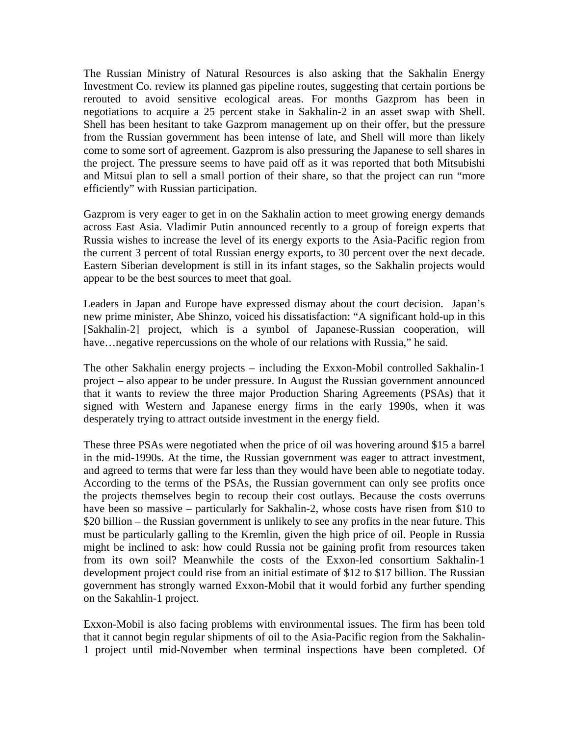The Russian Ministry of Natural Resources is also asking that the Sakhalin Energy Investment Co. review its planned gas pipeline routes, suggesting that certain portions be rerouted to avoid sensitive ecological areas. For months Gazprom has been in negotiations to acquire a 25 percent stake in Sakhalin-2 in an asset swap with Shell. Shell has been hesitant to take Gazprom management up on their offer, but the pressure from the Russian government has been intense of late, and Shell will more than likely come to some sort of agreement. Gazprom is also pressuring the Japanese to sell shares in the project. The pressure seems to have paid off as it was reported that both Mitsubishi and Mitsui plan to sell a small portion of their share, so that the project can run "more efficiently" with Russian participation.

Gazprom is very eager to get in on the Sakhalin action to meet growing energy demands across East Asia. Vladimir Putin announced recently to a group of foreign experts that Russia wishes to increase the level of its energy exports to the Asia-Pacific region from the current 3 percent of total Russian energy exports, to 30 percent over the next decade. Eastern Siberian development is still in its infant stages, so the Sakhalin projects would appear to be the best sources to meet that goal.

Leaders in Japan and Europe have expressed dismay about the court decision. Japan's new prime minister, Abe Shinzo, voiced his dissatisfaction: "A significant hold-up in this [Sakhalin-2] project, which is a symbol of Japanese-Russian cooperation, will have... negative repercussions on the whole of our relations with Russia," he said.

The other Sakhalin energy projects – including the Exxon-Mobil controlled Sakhalin-1 project – also appear to be under pressure. In August the Russian government announced that it wants to review the three major Production Sharing Agreements (PSAs) that it signed with Western and Japanese energy firms in the early 1990s, when it was desperately trying to attract outside investment in the energy field.

These three PSAs were negotiated when the price of oil was hovering around \$15 a barrel in the mid-1990s. At the time, the Russian government was eager to attract investment, and agreed to terms that were far less than they would have been able to negotiate today. According to the terms of the PSAs, the Russian government can only see profits once the projects themselves begin to recoup their cost outlays. Because the costs overruns have been so massive – particularly for Sakhalin-2, whose costs have risen from \$10 to \$20 billion – the Russian government is unlikely to see any profits in the near future. This must be particularly galling to the Kremlin, given the high price of oil. People in Russia might be inclined to ask: how could Russia not be gaining profit from resources taken from its own soil? Meanwhile the costs of the Exxon-led consortium Sakhalin-1 development project could rise from an initial estimate of \$12 to \$17 billion. The Russian government has strongly warned Exxon-Mobil that it would forbid any further spending on the Sakahlin-1 project.

Exxon-Mobil is also facing problems with environmental issues. The firm has been told that it cannot begin regular shipments of oil to the Asia-Pacific region from the Sakhalin-1 project until mid-November when terminal inspections have been completed. Of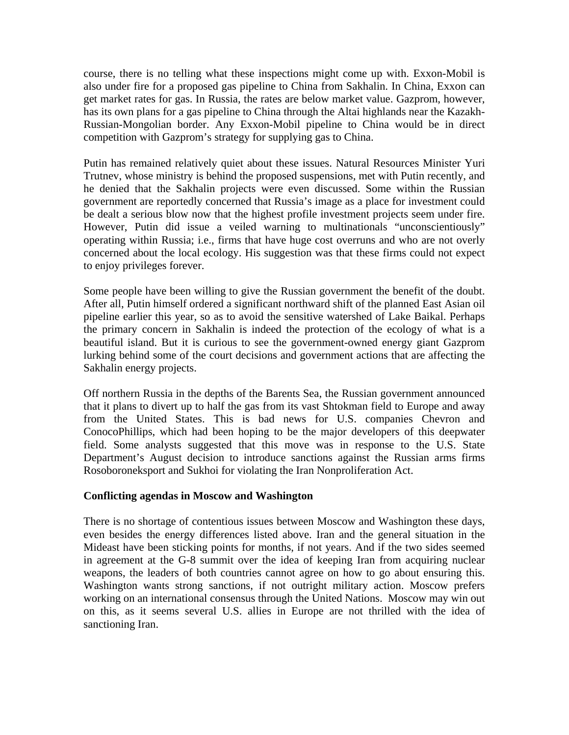course, there is no telling what these inspections might come up with. Exxon-Mobil is also under fire for a proposed gas pipeline to China from Sakhalin. In China, Exxon can get market rates for gas. In Russia, the rates are below market value. Gazprom, however, has its own plans for a gas pipeline to China through the Altai highlands near the Kazakh-Russian-Mongolian border. Any Exxon-Mobil pipeline to China would be in direct competition with Gazprom's strategy for supplying gas to China.

Putin has remained relatively quiet about these issues. Natural Resources Minister Yuri Trutnev, whose ministry is behind the proposed suspensions, met with Putin recently, and he denied that the Sakhalin projects were even discussed. Some within the Russian government are reportedly concerned that Russia's image as a place for investment could be dealt a serious blow now that the highest profile investment projects seem under fire. However, Putin did issue a veiled warning to multinationals "unconscientiously" operating within Russia; i.e., firms that have huge cost overruns and who are not overly concerned about the local ecology. His suggestion was that these firms could not expect to enjoy privileges forever.

Some people have been willing to give the Russian government the benefit of the doubt. After all, Putin himself ordered a significant northward shift of the planned East Asian oil pipeline earlier this year, so as to avoid the sensitive watershed of Lake Baikal. Perhaps the primary concern in Sakhalin is indeed the protection of the ecology of what is a beautiful island. But it is curious to see the government-owned energy giant Gazprom lurking behind some of the court decisions and government actions that are affecting the Sakhalin energy projects.

Off northern Russia in the depths of the Barents Sea, the Russian government announced that it plans to divert up to half the gas from its vast Shtokman field to Europe and away from the United States. This is bad news for U.S. companies Chevron and ConocoPhillips, which had been hoping to be the major developers of this deepwater field. Some analysts suggested that this move was in response to the U.S. State Department's August decision to introduce sanctions against the Russian arms firms Rosoboroneksport and Sukhoi for violating the Iran Nonproliferation Act.

#### **Conflicting agendas in Moscow and Washington**

There is no shortage of contentious issues between Moscow and Washington these days, even besides the energy differences listed above. Iran and the general situation in the Mideast have been sticking points for months, if not years. And if the two sides seemed in agreement at the G-8 summit over the idea of keeping Iran from acquiring nuclear weapons, the leaders of both countries cannot agree on how to go about ensuring this. Washington wants strong sanctions, if not outright military action. Moscow prefers working on an international consensus through the United Nations. Moscow may win out on this, as it seems several U.S. allies in Europe are not thrilled with the idea of sanctioning Iran.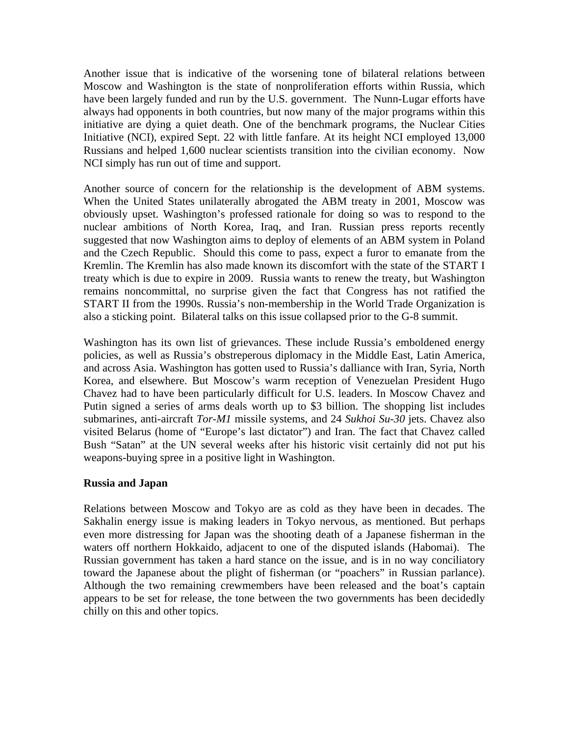Another issue that is indicative of the worsening tone of bilateral relations between Moscow and Washington is the state of nonproliferation efforts within Russia, which have been largely funded and run by the U.S. government. The Nunn-Lugar efforts have always had opponents in both countries, but now many of the major programs within this initiative are dying a quiet death. One of the benchmark programs, the Nuclear Cities Initiative (NCI), expired Sept. 22 with little fanfare. At its height NCI employed 13,000 Russians and helped 1,600 nuclear scientists transition into the civilian economy. Now NCI simply has run out of time and support.

Another source of concern for the relationship is the development of ABM systems. When the United States unilaterally abrogated the ABM treaty in 2001, Moscow was obviously upset. Washington's professed rationale for doing so was to respond to the nuclear ambitions of North Korea, Iraq, and Iran. Russian press reports recently suggested that now Washington aims to deploy of elements of an ABM system in Poland and the Czech Republic. Should this come to pass, expect a furor to emanate from the Kremlin. The Kremlin has also made known its discomfort with the state of the START I treaty which is due to expire in 2009. Russia wants to renew the treaty, but Washington remains noncommittal, no surprise given the fact that Congress has not ratified the START II from the 1990s. Russia's non-membership in the World Trade Organization is also a sticking point. Bilateral talks on this issue collapsed prior to the G-8 summit.

Washington has its own list of grievances. These include Russia's emboldened energy policies, as well as Russia's obstreperous diplomacy in the Middle East, Latin America, and across Asia. Washington has gotten used to Russia's dalliance with Iran, Syria, North Korea, and elsewhere. But Moscow's warm reception of Venezuelan President Hugo Chavez had to have been particularly difficult for U.S. leaders. In Moscow Chavez and Putin signed a series of arms deals worth up to \$3 billion. The shopping list includes submarines, anti-aircraft *Tor-M1* missile systems, and 24 *Sukhoi Su-30* jets. Chavez also visited Belarus (home of "Europe's last dictator") and Iran. The fact that Chavez called Bush "Satan" at the UN several weeks after his historic visit certainly did not put his weapons-buying spree in a positive light in Washington.

#### **Russia and Japan**

Relations between Moscow and Tokyo are as cold as they have been in decades. The Sakhalin energy issue is making leaders in Tokyo nervous, as mentioned. But perhaps even more distressing for Japan was the shooting death of a Japanese fisherman in the waters off northern Hokkaido, adjacent to one of the disputed islands (Habomai). The Russian government has taken a hard stance on the issue, and is in no way conciliatory toward the Japanese about the plight of fisherman (or "poachers" in Russian parlance). Although the two remaining crewmembers have been released and the boat's captain appears to be set for release, the tone between the two governments has been decidedly chilly on this and other topics.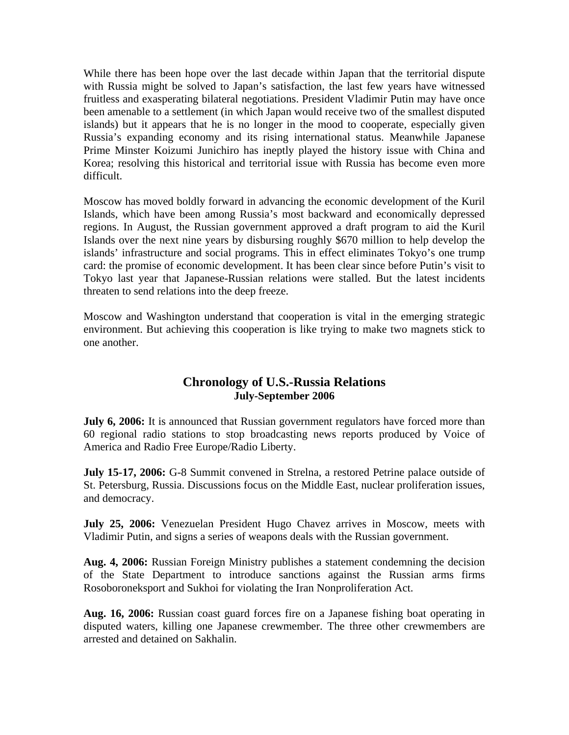While there has been hope over the last decade within Japan that the territorial dispute with Russia might be solved to Japan's satisfaction, the last few years have witnessed fruitless and exasperating bilateral negotiations. President Vladimir Putin may have once been amenable to a settlement (in which Japan would receive two of the smallest disputed islands) but it appears that he is no longer in the mood to cooperate, especially given Russia's expanding economy and its rising international status. Meanwhile Japanese Prime Minster Koizumi Junichiro has ineptly played the history issue with China and Korea; resolving this historical and territorial issue with Russia has become even more difficult.

Moscow has moved boldly forward in advancing the economic development of the Kuril Islands, which have been among Russia's most backward and economically depressed regions. In August, the Russian government approved a draft program to aid the Kuril Islands over the next nine years by disbursing roughly \$670 million to help develop the islands' infrastructure and social programs. This in effect eliminates Tokyo's one trump card: the promise of economic development. It has been clear since before Putin's visit to Tokyo last year that Japanese-Russian relations were stalled. But the latest incidents threaten to send relations into the deep freeze.

Moscow and Washington understand that cooperation is vital in the emerging strategic environment. But achieving this cooperation is like trying to make two magnets stick to one another.

# **Chronology of U.S.-Russia Relations July-September 2006**

**July 6, 2006:** It is announced that Russian government regulators have forced more than 60 regional radio stations to stop broadcasting news reports produced by Voice of America and Radio Free Europe/Radio Liberty.

**July 15-17, 2006:** G-8 Summit convened in Strelna, a restored Petrine palace outside of St. Petersburg, Russia. Discussions focus on the Middle East, nuclear proliferation issues, and democracy.

**July 25, 2006:** Venezuelan President Hugo Chavez arrives in Moscow, meets with Vladimir Putin, and signs a series of weapons deals with the Russian government.

**Aug. 4, 2006:** Russian Foreign Ministry publishes a statement condemning the decision of the State Department to introduce sanctions against the Russian arms firms Rosoboroneksport and Sukhoi for violating the Iran Nonproliferation Act.

**Aug. 16, 2006:** Russian coast guard forces fire on a Japanese fishing boat operating in disputed waters, killing one Japanese crewmember. The three other crewmembers are arrested and detained on Sakhalin.